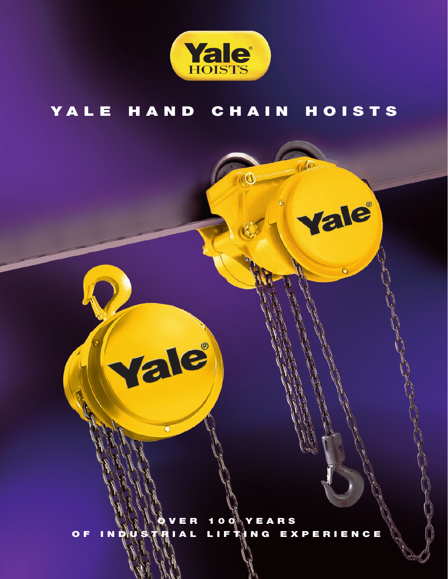

# YALE HAND CHAIN HOISTS

 $\hat{O}$ 

Vale

 $\odot$ 

**O V E R 1 0 0 Y E A R S O F I N D U S T R I A L L I F T I N G E X P E R I E N C E**

Vale

 $\blacksquare$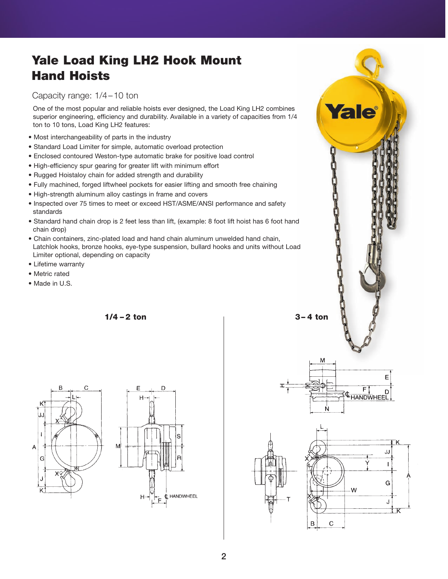# **Yale Load King LH2 Hook Mount Hand Hoists**

Capacity range: 1/4–10 ton

One of the most popular and reliable hoists ever designed, the Load King LH2 combines superior engineering, efficiency and durability. Available in a variety of capacities from 1/4 ton to 10 tons, Load King LH2 features:

- Most interchangeability of parts in the industry
- Standard Load Limiter for simple, automatic overload protection
- Enclosed contoured Weston-type automatic brake for positive load control
- High-efficiency spur gearing for greater lift with minimum effort
- Rugged Hoistaloy chain for added strength and durability
- Fully machined, forged liftwheel pockets for easier lifting and smooth free chaining
- High-strength aluminum alloy castings in frame and covers
- Inspected over 75 times to meet or exceed HST/ASME/ANSI performance and safety standards
- Standard hand chain drop is 2 feet less than lift, (example: 8 foot lift hoist has 6 foot hand chain drop)
- Chain containers, zinc-plated load and hand chain aluminum unwelded hand chain, Latchlok hooks, bronze hooks, eye-type suspension, bullard hooks and units without Load Limiter optional, depending on capacity
- Lifetime warranty
- Metric rated
- Made in U.S.

**1/4 – 2 ton 3– 4 ton**





M E F **CHANDWHEEL** JJ  $\mathbf{I}$ Ġ W J  $\sf B$  $\mathbf C$ 

Yale®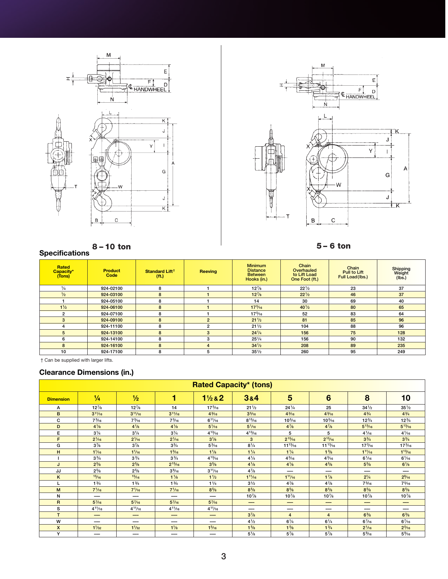



### **8 – 10 ton 5 – 6 ton**

## **Specifications**

| Rated<br>Capacity*<br>(Tons) | <b>Product</b><br>Code | Standard Lift <sup>†</sup><br>(f <sub>t</sub> ) | <b>Reeving</b> | <b>Minimum</b><br><b>Distance</b><br><b>Between</b><br>Hooks (in.) | Chain<br>Overhauled<br>to Lift Load<br>One Foot (ft.) | Chain<br><b>Pull to Lift</b><br>Full Load(lbs.) | Shipping<br>Weight<br>(lbs.) |
|------------------------------|------------------------|-------------------------------------------------|----------------|--------------------------------------------------------------------|-------------------------------------------------------|-------------------------------------------------|------------------------------|
| $\frac{1}{4}$                | 924-02100              | 8                                               |                | $12\frac{7}{8}$                                                    | $22\frac{1}{2}$                                       | 23                                              | 37                           |
| $\frac{1}{2}$                | 924-03100              | 8                                               |                | $12^{7}/8$                                                         | $22^{1/2}$                                            | 46                                              | 37                           |
|                              | 924-05100              | 8                                               |                | 14                                                                 | 30                                                    | 69                                              | 40                           |
| $1\frac{1}{2}$               | 924-06100              | 8                                               |                | $17\frac{5}{16}$                                                   | $40\frac{1}{2}$                                       | 80                                              | 65                           |
| $\overline{2}$               | 924-07100              | 8                                               |                | $17\frac{5}{16}$                                                   | 52                                                    | 83                                              | 64                           |
| 3                            | 924-09100              | 8                                               | $\mathfrak{p}$ | $21\frac{1}{2}$                                                    | 81                                                    | 85                                              | 96                           |
| 4                            | 924-11100              | 8                                               | 2              | $21\frac{1}{2}$                                                    | 104                                                   | 88                                              | 96                           |
| 5                            | 924-13100              | 8                                               | 3              | $24\frac{1}{4}$                                                    | 156                                                   | 75                                              | 128                          |
| 6                            | 924-14100              | 8                                               | 3              | $25\frac{1}{4}$                                                    | 156                                                   | 90                                              | 132                          |
| 8                            | 924-16100              | 8                                               | $\overline{4}$ | $34\frac{1}{2}$                                                    | 208                                                   | 89                                              | 235                          |
| 10                           | 924-17100              | 8                                               | 5              | $35\frac{1}{2}$                                                    | 260                                                   | 95                                              | 249                          |

Can be supplied with larger lifts.

## **Clearance Dimensions (in.)**

|                  |                 |                 |                 |                  | <b>Rated Capacity* (tons)</b> |                   |                  |                  |                  |
|------------------|-----------------|-----------------|-----------------|------------------|-------------------------------|-------------------|------------------|------------------|------------------|
| <b>Dimension</b> | $\frac{1}{4}$   | $\frac{1}{2}$   | 1               | $1\frac{1}{2}82$ | 384                           | 5                 | 6                | 8                | 10               |
| A                | $12\frac{7}{8}$ | $12\frac{7}{8}$ | 14              | $17\frac{5}{16}$ | $21\frac{1}{2}$               | $24\frac{1}{4}$   | 25               | $34\frac{1}{2}$  | $35\frac{1}{2}$  |
| B                | $3^{11}/_{16}$  | $3^{11}/16$     | $3^{11}/16$     | $4\frac{3}{16}$  | 3 <sup>5</sup> /16            | $4\frac{3}{16}$   | $4\frac{3}{16}$  | $4^{3}/4$        | $4^{3}/4$        |
| c                | $7\frac{3}{16}$ | $7\frac{3}{16}$ | $7\frac{3}{16}$ | $6^{11}/_{16}$   | $8^{15}/_{16}$                | $10\frac{5}{16}$  | $10\frac{5}{16}$ | $12\frac{3}{4}$  | $12\frac{3}{4}$  |
| D                | $4\frac{1}{8}$  | $4\frac{1}{8}$  | $4\frac{1}{8}$  | $5\frac{1}{16}$  | $5\frac{1}{16}$               | $4^{7}/8$         | $4^{7}/8$        | $5^{13}/16$      | $5^{13}/16$      |
| Е                | $3\frac{1}{4}$  | $3\frac{1}{4}$  | $3\frac{1}{4}$  | $4^{13}/_{16}$   | $4^{13}/_{16}$                | 5                 | 5                | $4\frac{1}{16}$  | $4\frac{1}{16}$  |
| F                | $2\frac{1}{6}$  | $2\frac{1}{16}$ | $2\frac{1}{16}$ | $3\frac{1}{8}$   | 3                             | $2^{15}/16$       | $2^{15}/16$      | $3^{3}/4$        | $3^{3}/4$        |
| G                | $3^{7}/8$       | $3^{7}/8$       | $3^{3}/4$       | $5\frac{3}{16}$  | $8^{1/4}$                     | $11^{13}/16$      | $11^{13}/_{16}$  | $17\frac{3}{16}$ | $17\frac{3}{16}$ |
| н                | $1\frac{1}{16}$ | $1\frac{1}{16}$ | $1\frac{3}{16}$ | $1\frac{1}{8}$   | $1\frac{1}{4}$                | $1\frac{1}{4}$    | $1\frac{3}{8}$   | $1^{11}/16$      | $1^{13}/16$      |
|                  | $3^{3}/4$       | $3\frac{3}{4}$  | $3\frac{3}{4}$  | $4^{13}/_{16}$   | $4^{1/4}$                     | $4\frac{3}{16}$   | $4\frac{3}{16}$  | $6\frac{1}{16}$  | $6\frac{1}{16}$  |
|                  | $2^{5/8}$       | $2^{5}/8$       | $2^{15}/16$     | $3^{5}/8$        | $4^{1/8}$                     | $4^{1/8}$         | $4^{5}/8$        | $5\frac{5}{8}$   | $6\frac{1}{8}$   |
| JJ               | $2^{5/8}$       | $2^{5/8}$       | $3\frac{9}{16}$ | $3^{11}/_{16}$   | $4^{7}/8$                     | ---               | ---              | ---              | ---              |
| K                | 15/16           | 15/16           | $1\frac{1}{8}$  | $1\frac{1}{2}$   | $1^{11}/_{16}$                | $1^{11}/16$       | $1\frac{7}{8}$   | $2^{1/4}$        | $2\frac{9}{16}$  |
|                  | $1\frac{3}{4}$  | $1\frac{3}{4}$  | $1\frac{3}{4}$  | $1\frac{1}{4}$   | $3^{1/2}$                     | $4^{7}/8$         | $4^{7}/8$        | $7\frac{5}{16}$  | $7\frac{5}{16}$  |
| M                | $7\frac{1}{16}$ | $7\frac{1}{16}$ | $7\frac{1}{16}$ | $8^{5}/8$        | $8^{5}/8$                     | $8^{5}/8$         | $8\frac{5}{8}$   | $8\frac{5}{8}$   | $8^{5}/8$        |
| N                | ---             | ---             | ---             | --               | $10^{7}/_8$                   | $10^{7}/_8$       | $10\frac{7}{8}$  | $10^{7}/_8$      | $10^{7}/_8$      |
| $\overline{R}$   | $5^{7}/_{16}$   | $5^{7}/_{16}$   | $5^{7}/_{16}$   | $5^{7}/_{16}$    | ---                           | ---               | ---              | ---              | ---              |
| s                | $4^{11}/_{16}$  | $4^{11}/_{16}$  | $4^{11}/_{16}$  | $4^{11}/_{16}$   | ---                           | ---               | ---              | ---              | ---              |
| T                | --              | —               | ---             | --               | $3^{7}/8$                     | $\overline{4}$    | 4                | $6\frac{3}{8}$   | $6\frac{3}{8}$   |
| W                | ---             | ---             | ---             | --               | $4\frac{1}{2}$                | $6^{1/4}$         | $6\frac{1}{4}$   | $6\frac{7}{16}$  | $6\frac{7}{16}$  |
| $\mathsf{x}$     | $1\frac{1}{32}$ | $1\frac{1}{32}$ | $1\frac{1}{8}$  | $1\frac{5}{16}$  | $1\frac{5}{8}$                | 1 <sup>5</sup> /8 | $1\frac{3}{4}$   | $2\frac{1}{16}$  | $2^{5/16}$       |
| Y                |                 | ---             | ---             | ---              | $5\frac{1}{8}$                | $5^{7}/8$         | $5\frac{7}{8}$   | $5\%$ 16         | $5\%$            |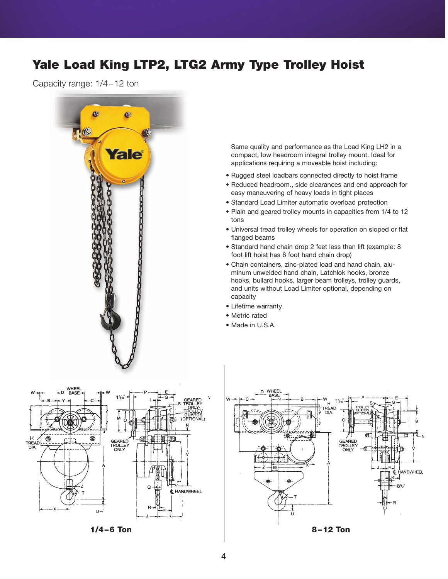# **Yale Load King LTP2, LTG2 Army Type Trolley Hoist**

Capacity range: 1/4–12 ton



Same quality and performance as the Load King LH2 in a compact, low headroom integral trolley mount. Ideal for applications requiring a moveable hoist including:

- Rugged steel loadbars connected directly to hoist frame
- Reduced headroom., side clearances and end approach for easy maneuvering of heavy loads in tight places
- Standard Load Limiter automatic overload protection
- Plain and geared trolley mounts in capacities from 1/4 to 12 tons
- Universal tread trolley wheels for operation on sloped or flat flanged beams
- Standard hand chain drop 2 feet less than lift (example: 8 foot lift hoist has 6 foot hand chain drop)
- Chain containers, zinc-plated load and hand chain, aluminum unwelded hand chain, Latchlok hooks, bronze hooks, bullard hooks, larger beam trolleys, trolley guards, and units without Load Limiter optional, depending on capacity
- Lifetime warranty
- Metric rated
- Made in U.S.A.



**1/4–6 Ton 8–12 Ton**

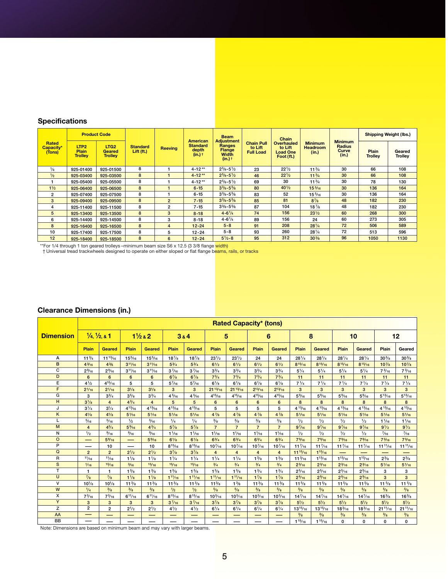## **Specifications**

| <b>Specifications</b>                  |                                                                                                                                                                                                        |                                                                     |                               |                                          |                                                        |                                                                                 |                                                  |                                                                        |                                            |                                                   |                         |                                                           |
|----------------------------------------|--------------------------------------------------------------------------------------------------------------------------------------------------------------------------------------------------------|---------------------------------------------------------------------|-------------------------------|------------------------------------------|--------------------------------------------------------|---------------------------------------------------------------------------------|--------------------------------------------------|------------------------------------------------------------------------|--------------------------------------------|---------------------------------------------------|-------------------------|-----------------------------------------------------------|
|                                        |                                                                                                                                                                                                        |                                                                     |                               |                                          |                                                        |                                                                                 |                                                  |                                                                        |                                            |                                                   |                         |                                                           |
| Rated<br>Capacity*<br>(Tons)           | LTP <sub>2</sub><br>Plain<br><b>Trolley</b>                                                                                                                                                            | <b>Product Code</b><br>LTG <sub>2</sub><br>Geared<br><b>Trolley</b> | <b>Standard</b><br>Lift (ft.) | <b>Reeving</b>                           | <b>American</b><br><b>Standard</b><br>depth<br>(in.) t | <b>Beam</b><br><b>Adjustment</b><br>Ranges<br><b>Flange</b><br>Width<br>(in.) t | <b>Chain Pull</b><br>to Lift<br><b>Full Load</b> | Chain<br><b>Overhauled</b><br>to Lift<br><b>Load One</b><br>Foot (ft.) | <b>Minimum</b><br><b>Headroom</b><br>(in.) | <b>Minimum</b><br>Radius<br><b>Curve</b><br>(in.) | Plain<br><b>Trolley</b> | <b>Shipping Weight (lbs.)</b><br>Geared<br><b>Trolley</b> |
| $\frac{1}{4}$                          | 925-01400                                                                                                                                                                                              | 925-01500                                                           | $\overline{\mathbf{8}}$       | $\mathbf{1}$                             | $4 - 12**$                                             | $2\frac{5}{8} - 5\frac{1}{2}$                                                   | 23                                               | $22\frac{1}{2}$                                                        | $11\frac{3}{4}$                            | 30                                                | 66                      | 108                                                       |
| $\frac{1}{2}$<br>$\mathbf{1}$          | 925-03400                                                                                                                                                                                              | 925-03500                                                           | $\bf 8$<br>$\bf 8$            | $\mathbf{1}$<br>$\mathbf 1$              | $4 - 12**$                                             | $2^{5}/8 - 5^{1}/2$                                                             | 46                                               | $22^{1/2}$<br>30                                                       | $11^{3/4}$                                 | 30<br>30                                          | 66                      | 108<br>130                                                |
| $1\frac{1}{2}$                         | 925-05400<br>925-06400                                                                                                                                                                                 | 925-05500<br>925-06500                                              | $\bf8$                        | $\mathbf{1}$                             | $4 - 12**$<br>$6 - 15$                                 | $2^{5}/8 - 5^{1}/2$<br>$3\frac{3}{8} - 5\frac{5}{8}$                            | 69<br>80                                         | $40^{1/2}$                                                             | $11^{3/4}$<br>$15\frac{5}{16}$             | 30                                                | 78<br>136               | 164                                                       |
| $\overline{2}$                         | 925-07400                                                                                                                                                                                              | 925-07500                                                           | 8                             | $\mathbf 1$                              | $6 - 15$                                               | $3\frac{3}{8} - 5\frac{5}{8}$                                                   | 83                                               | 52                                                                     | $15\frac{5}{16}$                           | 30                                                | 136                     | 164                                                       |
| $\mathbf 3$<br>$\overline{\mathbf{4}}$ | 925-09400                                                                                                                                                                                              | 925-09500                                                           | 8                             | $\mathbf 2$                              | $7 - 15$                                               | $3\frac{3}{8} - 5\frac{5}{8}$<br>$3\% - 5\%$                                    | 85                                               | 81<br>104                                                              | $8^{7}/8$                                  | 48<br>48                                          | 182<br>182              | 230<br>230                                                |
| $\sqrt{5}$                             | 925-11400<br>925-13400                                                                                                                                                                                 | 925-11500<br>925-13500                                              | 8<br>8                        | $\mathbf 2$<br>$\ensuremath{\mathsf{3}}$ | $7 - 15$<br>$8 - 18$                                   | $4 - 6\frac{1}{4}$                                                              | 87<br>74                                         | 156                                                                    | $18\frac{7}{8}$<br>$23^{1/2}$              | 60                                                | 268                     | 300                                                       |
| 6                                      | 925-14400                                                                                                                                                                                              | 925-14500                                                           | 8                             | 3                                        | $8 - 18$                                               | $4 - 6\frac{1}{4}$                                                              | 89                                               | 156                                                                    | 24                                         | 60                                                | 273                     | 305                                                       |
| $\bf8$                                 | 925-16400                                                                                                                                                                                              | 925-16500                                                           | 8                             | $\overline{\mathbf{4}}$                  | $12 - 24$                                              | $5 - 8$                                                                         | 91                                               | 208                                                                    | $28^{1/4}$                                 | 72                                                | 506                     | 589                                                       |
| 10<br>12                               | 925-17400<br>925-18400                                                                                                                                                                                 | 925-17500<br>925-18500                                              | 8<br>8                        | 5<br>6                                   | $12 - 24$<br>$12 - 24$                                 | $5 - 8$<br>$5\frac{1}{2} - 8$                                                   | 93<br>95                                         | 260<br>312                                                             | $28\frac{1}{4}$<br>$30\frac{3}{8}$         | 72<br>96                                          | 513<br>1050             | 596<br>1130                                               |
|                                        | **For 1/4 through 1 ton geared trolleys -minimum beam size S6 x 12.5 (3 3/8 flange width)<br>† Universal tread trackwheels designed to operate on either sloped or flat flange beams, rails, or tracks |                                                                     |                               |                                          |                                                        |                                                                                 |                                                  |                                                                        |                                            |                                                   |                         |                                                           |
|                                        | <b>Clearance Dimensions (in.)</b>                                                                                                                                                                      |                                                                     |                               |                                          |                                                        | <b>Rated Capacity* (tons)</b>                                                   |                                                  |                                                                        |                                            |                                                   |                         |                                                           |

|                  |                 |                                     |                 |                    |                 |                 |                 | <b>Rated Capacity* (tons)</b> |                 |                  |                  |                                |                                |                  |                                |                 |
|------------------|-----------------|-------------------------------------|-----------------|--------------------|-----------------|-----------------|-----------------|-------------------------------|-----------------|------------------|------------------|--------------------------------|--------------------------------|------------------|--------------------------------|-----------------|
| <b>Dimension</b> |                 | $\frac{1}{4}$ , $\frac{1}{2}$ , & 1 |                 | $1\frac{1}{2}$ & 2 |                 | 384             |                 | 5                             |                 | 6                |                  | 8                              |                                | 10               |                                | 12              |
|                  | Plain           | Geared                              | Plain           | Geared             | Plain           | Geared          | Plain           | Geared                        | Plain           | Geared           | Plain            | Geared                         | Plain                          | Geared           | Plain                          | Geared          |
| А                | $11^{3/4}$      | $11^{13}/16$                        | 15%             | 15%6               | $18\frac{7}{8}$ | $18^{7}/8$      | $23^{1/2}$      | $23^{1/2}$                    | 24              | 24               | $28^{1/4}$       | $28\frac{1}{4}$                | $28\frac{1}{4}$                | $28\frac{1}{4}$  | $30\frac{3}{8}$                | $30\%$          |
| B                | $4^{3}/_{16}$   | $4\frac{3}{6}$                      | $3^{11}/16$     | $3^{11}/16$        | $5^{3}/4$       | $5^{3}/4$       | $6^{1/2}$       | $6\frac{1}{2}$                | $6\frac{1}{2}$  | $6^{1/2}$        | $8^{15}/_{16}$   | $8^{15}/_{16}$                 | $8^{15}/_{16}$                 | $8^{15}/_{16}$   | $10^{7}/8$                     | $10^{7}/8$      |
| C                | $2\frac{9}{16}$ | $2\frac{9}{16}$                     | $3^{11}/_{16}$  | $3^{11}/_{16}$     | $3\frac{7}{16}$ | $3\frac{7}{16}$ | $3^{3}/4$       | $3\frac{3}{4}$                | $3^{3}/4$       | $3^{3}/4$        | $5^{1/4}$        | $5^{1/4}$                      | $5\frac{1}{4}$                 | $5\frac{1}{4}$   | $7\frac{3}{16}$                | $7\frac{3}{16}$ |
| D                | 6               | 6                                   | 6               | 6                  | $6^{7}/8$       | $6^{7}/8$       | $7^{3}/4$       | $7^{3}/4$                     | $7^{3}/4$       | $7^{3}/4$        | 11               | 11                             | 11                             | 11               | 11                             | 11              |
| E                | $4^{1/2}$       | $4^{15}/_{16}$                      | 5               | 5                  | $5^{7}/_{16}$   | $5^{7}/_{16}$   | $6^{1/3}$       | $6\frac{1}{8}$                | $6\frac{1}{8}$  | $6^{1/8}$        | $7\frac{1}{4}$   | $7^{1/4}$                      | $7^{1/4}$                      | $7\frac{1}{4}$   | $7\frac{1}{4}$                 | $7\frac{1}{4}$  |
| F                | $2^{1/16}$      | $2^{1/16}$                          | $3^{1}/8$       | $3^{1}/8$          | 3               | 3               | $21^{13}/_{16}$ | $21^{13}/_{16}$               | $2^{13}/_{16}$  | $2^{13}/16$      | 3                | 3                              | 3                              | 3                | 3                              | 3               |
| G                | 3               | $3^{3}/4$                           | $3\frac{5}{8}$  | $3^{3}/4$          | $4\frac{5}{16}$ | 4 % 6           | $4^{15}/_{16}$  | $4^{15}/_{16}$                | $4^{15}/_{16}$  | $4^{15}/_{16}$   | $5\%$            | $5\frac{9}{16}$                | $5\%$                          | $5\%$            | $5^{13}/_{16}$                 | $5^{13}/_{16}$  |
| H                | $3^{1/8}$       | $\overline{4}$                      | $4^{3}/4$       | $\overline{4}$     | 5               | 5               | 6               | 6                             | 6               | 6                | 8                | 8                              | 8                              | 8                | 8                              | 8               |
| J                | $3^{1/4}$       | $3^{1/4}$                           | $4^{13}/16$     | $4^{13}/16$        | $4^{13}/16$     | $4^{13}/16$     | 5               | 5                             | 5               | 5                | $4^{13}/16$      | $4^{13/16}$                    | $4^{13}/16$                    | $4^{13}/16$      | $4^{13}/16$                    | 4 13/16         |
| Κ                | $4^{1/8}$       | $4^{1}/8$                           | $5\frac{1}{16}$ | $5\frac{1}{16}$    | $5\frac{1}{16}$ | $5\frac{1}{16}$ | $4^{7}/8$       | $4^{7}/8$                     | $4^{7}/8$       | $4\frac{7}{8}$   | $5\frac{1}{16}$  | $5\frac{1}{16}$                | $5\frac{1}{16}$                | $5\frac{1}{16}$  | $5\frac{1}{16}$                | $5\frac{1}{16}$ |
| L                | $\frac{5}{16}$  | 5/16                                | 1/2             | $\frac{5}{16}$     | 1/4             | 1/4             | $\frac{3}{8}$   | 3/8                           | $\frac{3}{8}$   | $\frac{3}{8}$    | 1/2              | 1/2                            | 1/2                            | 1/2              | $1\frac{1}{16}$                | $1\frac{1}{16}$ |
| M                | $\overline{4}$  | $4^{3}/4$                           | $5\frac{9}{16}$ | $4^{3}/4$          | $5^{7}/8$       | $5^{7}/8$       | $\overline{7}$  | $\overline{7}$                | $\overline{7}$  | $\overline{7}$   | $9^{7}/16$       | $9^{7}/16$                     | $9^{7}/_{16}$                  | $9^{7}/16$       | $9^{1/2}$                      | $9^{1/2}$       |
| N                | $\frac{1}{2}$   | $\frac{9}{16}$                      | $\frac{9}{16}$  | $\frac{9}{16}$     | $1\frac{1}{16}$ | $1\frac{1}{16}$ | $1\frac{1}{16}$ | $1\frac{1}{16}$               | $1^{1/16}$      | $1\frac{1}{16}$  | $\frac{1}{2}$    | $\frac{1}{2}$                  | 1/2                            | $\frac{1}{2}$    | $^{7}/_{16}$                   | $\frac{7}{16}$  |
| $\circ$          | --              | $5\frac{9}{16}$                     | —               | $5\frac{9}{16}$    | $6^{1/8}$       | $6^{1}/8$       | $6^{3}/4$       | $6\frac{3}{4}$                | $6\frac{3}{4}$  | $6^{3}/4$        | $7\frac{9}{16}$  | $7\frac{9}{16}$                | $7\frac{9}{16}$                | $7\frac{9}{16}$  | $7^{3}/16$                     | $7^{3}/_{16}$   |
| P                |                 | 10                                  | —               | 10                 | $8^{15}/16$     | $8^{15}/16$     | $10^{7/16}$     | $10^{7/16}$                   | $10^{7/16}$     | $10^{7/16}$      | $11\frac{7}{16}$ | $11^{7/16}$                    | $11\frac{7}{16}$               | $11\frac{7}{16}$ | $11^{11/16}$                   | $11^{11}/16$    |
| Q                | $\overline{2}$  | $\overline{2}$                      | $2^{1/2}$       | $2^{1/2}$          | $3^{7}/8$       | $3^{7}/8$       | $\overline{4}$  | $\overline{4}$                | $\overline{4}$  | $\overline{4}$   | $11^{15}/16$     | $1^{15}/16$                    | --                             |                  |                                |                 |
| R                | 11/16           | 11/16                               | $1\frac{1}{8}$  | $1\frac{1}{8}$     | $1\frac{1}{4}$  | 11/4            | $1^{1/4}$       | 11/4                          | $1\frac{3}{8}$  | $1\frac{3}{8}$   | $11\frac{3}{16}$ | $1^{13}/16$                    | $1^{13}/16$                    | $1^{13}/_{16}$   | $2^{3}/8$                      | $2^{3/8}$       |
| $\mathbf{s}$     | 1/16            | 15/16                               | $\frac{3}{16}$  | 15/16              | 15/16           | 15/16           | $\frac{3}{4}$   | $\frac{3}{4}$                 | $^{3}/_{4}$     | $\frac{3}{4}$    | $2^{3}/_{16}$    | $2^{3}/_{16}$                  | $2^{3}/_{16}$                  | $2^{3}/_{16}$    | $5\frac{1}{16}$                | $5^{1/16}$      |
| T                | $\mathbf{1}$    | 1                                   | $1\frac{3}{8}$  | $1\frac{3}{8}$     | $1\frac{5}{8}$  | $1\frac{5}{8}$  | $1\frac{5}{8}$  | $1\frac{5}{8}$                | $1\frac{3}{4}$  | $1^{3/4}$        | $2^{5/16}$       | $2^{5/16}$                     | $2^{5/16}$                     | $2\frac{5}{16}$  | 3                              | 3               |
| $\cup$           | $\frac{7}{8}$   | $\frac{7}{8}$                       | $1\frac{1}{8}$  | 1 <sup>1</sup> /8  | $1^{11}/_{16}$  | $1^{11}/_{16}$  | $1^{11}/_{16}$  | $1^{11/16}$                   | $1^{7}/8$       | $1^{7}/8$        | $2\frac{9}{16}$  | $2\frac{9}{16}$                | $2\frac{9}{16}$                | $2\frac{9}{16}$  | 3                              | 3               |
| $\mathsf{V}$     | $10^{1/8}$      | $10^{1/8}$                          | $11\frac{3}{8}$ | $11\frac{3}{8}$    | $11\frac{3}{8}$ | $11\frac{3}{8}$ | $11^{3}/8$      | $1\frac{3}{8}$                | $11\frac{3}{8}$ | $11\frac{3}{8}$  | $11\frac{5}{8}$  | 11 <sup>5</sup> / <sub>8</sub> | 11 <sup>5</sup> / <sub>8</sub> | $11\frac{5}{8}$  | 11 <sup>5</sup> / <sub>8</sub> | $11\frac{5}{8}$ |
| $\overline{W}$   | $\frac{1}{4}$   | $\frac{3}{8}$                       | $^{3}/_{8}$     | $^{3}/_{8}$        | $\frac{1}{2}$   | $\frac{1}{2}$   | $\frac{5}{8}$   | $\frac{5}{8}$                 | $\frac{5}{8}$   | $\frac{5}{8}$    | $\frac{5}{8}$    | $\frac{5}{8}$                  | $\frac{5}{8}$                  | $\frac{5}{8}$    | $\frac{5}{8}$                  | $\frac{5}{8}$   |
| x                | $7^{3}/_{16}$   | $7\frac{3}{16}$                     | $6^{11/16}$     | $6^{11/16}$        | $8^{15}/_{16}$  | $8^{15}/_{16}$  | $10^{5/16}$     | $10^{5/16}$                   | $10^{5/16}$     | $10\frac{5}{16}$ | $14\frac{7}{16}$ | $14^{7}/_{16}$                 | $14^{7}/_{16}$                 | $14^{7}/_{16}$   | $16\frac{3}{8}$                | $16\%$          |
| Y                | 3               | 3                                   | 3               | 3                  | $3\frac{7}{16}$ | $3\frac{7}{16}$ | $3^{7}/8$       | $3^{7}/8$                     | $3^{7}/8$       | $3^{7}/8$        | $5^{1/2}$        | $5^{1/2}$                      | $5^{1/2}$                      | $5^{1/2}$        | $5^{1/2}$                      | $5^{1/2}$       |
| z                | $\overline{2}$  | $\overline{\mathbf{c}}$             | $2^{1/2}$       | $2^{1/2}$          | $4^{1/2}$       | $4^{1/2}$       | $6^{1/4}$       | $6\frac{1}{4}$                | $6\frac{1}{4}$  | $6^{1/4}$        | $13^{15}/_{16}$  | $13^{15}/_{16}$                | $18\frac{3}{16}$               | $18\frac{3}{16}$ | $21^{11/16}$                   | $21^{11/16}$    |
| AA               | -               | --                                  | --              | --                 | –               |                 |                 | --                            | ---             | --               | $\frac{3}{8}$    | $\frac{3}{8}$                  | $\frac{3}{8}$                  | $\frac{3}{8}$    | $\frac{3}{8}$                  | $\frac{3}{8}$   |
| <b>BB</b>        | —               |                                     |                 |                    |                 |                 |                 |                               |                 |                  | $1^{15}/_{16}$   | 115/16                         | $\Omega$                       | $\Omega$         | $\Omega$                       | 0               |

## **Clearance Dimensions (in.)**

Note: Dimensions are based on minimum beam and may vary with larger beams.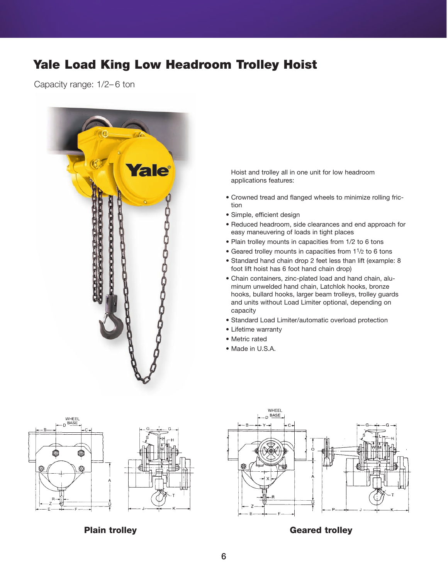# **Yale Load King Low Headroom Trolley Hoist**

Capacity range: 1/2– 6 ton

|  |        |                                  |                       | <i><b>fale</b></i> |  |
|--|--------|----------------------------------|-----------------------|--------------------|--|
|  |        |                                  | <b>COCOCOCOCOCOCO</b> | $\circ$            |  |
|  |        | <b>CALINERAL RUCKLACKATALISM</b> |                       |                    |  |
|  | E<br>E |                                  |                       |                    |  |
|  |        |                                  |                       |                    |  |

Hoist and trolley all in one unit for low headroom applications features:

- Crowned tread and flanged wheels to minimize rolling friction
- Simple, efficient design
- Reduced headroom, side clearances and end approach for easy maneuvering of loads in tight places
- Plain trolley mounts in capacities from 1/2 to 6 tons
- Geared trolley mounts in capacities from 11/2 to 6 tons
- Standard hand chain drop 2 feet less than lift (example: 8 foot lift hoist has 6 foot hand chain drop)
- Chain containers, zinc-plated load and hand chain, aluminum unwelded hand chain, Latchlok hooks, bronze hooks, bullard hooks, larger beam trolleys, trolley guards and units without Load Limiter optional, depending on capacity
- Standard Load Limiter/automatic overload protection
- Lifetime warranty
- Metric rated
- Made in U.S.A.





**Plain trolley and the Contract Contract Contract Contract Contract Contract Contract Contract Contract Contract Contract Contract Contract Contract Contract Contract Contract Contract Contract Contract Contract Contract C**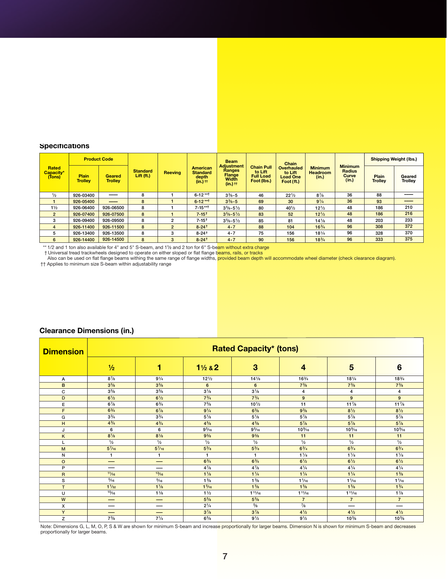#### **Specifications**

| Specifications<br><b>Product Code</b><br><b>Shipping Weight (lbs.)</b><br><b>Beam</b><br>Chain<br><b>Adjustment</b><br><b>Minimum</b><br><b>Chain Pull</b><br>Rated<br><b>American</b><br><b>Overhauled</b><br><b>Minimum</b><br>Ranges<br><b>Standard</b><br><b>Radius</b><br>to Lift<br><b>Standard</b><br><b>Headroom</b><br>Capacity*<br><b>Reeving</b><br>to Lift<br><b>Flange</b><br>Width<br>Lift (ft.)<br>Curve<br>Plain<br><b>Full Load</b><br><b>Geared</b><br>Plain<br>Geared<br>(Tons)<br>depth<br><b>Load One</b><br>(in.)<br>(in.)<br>Foot (lbs.)<br><b>Trolley</b><br><b>Trolley</b><br><b>Trolley</b><br><b>Trolley</b><br>$(in.)$ $tt$<br>Foot (ft.)<br>$(in.)$ $tt$<br>$\frac{1}{2}$<br>926-03400<br>8<br>1<br>$6 - 12 \cdot 1$<br>$3\frac{3}{8} - 5$<br>46<br>$22\frac{1}{2}$<br>$8\frac{7}{8}$<br>36<br>88<br>$\bf8$<br>$6 - 12***$<br>36<br>926-05400<br>$\mathbf{1}$<br>$3\frac{3}{8} - 5$<br>$9^{1/4}$<br>93<br>$\mathbf{1}$<br>69<br>30<br>210<br>$7 - 15***$<br>926-06400<br>8<br>$3\frac{5}{8} - 5\frac{1}{2}$<br>48<br>186<br>$1\frac{1}{2}$<br>926-06500<br>$\mathbf{1}$<br>80<br>$40^{1/2}$<br>$12\frac{1}{2}$<br>8<br>216<br>$\mathbf{1}$<br>$7 - 15$ <sup>†</sup><br>186<br>926-07400<br>926-07500<br>$3\frac{5}{8} - 5\frac{1}{2}$<br>48<br>$\overline{2}$<br>83<br>52<br>$12^{1/2}$<br>233<br>926-09500<br>8<br>$\overline{\mathbf{c}}$<br>203<br>926-09400<br>$7 - 15$ <sup>†</sup><br>$3\frac{5}{8} - 5\frac{1}{2}$<br>85<br>$14\frac{1}{8}$<br>48<br>3<br>81<br>372<br>8<br>$\overline{\mathbf{c}}$<br>$8 - 24$ <sup>t</sup><br>$4 - 7$<br>$16\frac{3}{4}$<br>96<br>308<br>$\overline{4}$<br>926-11400<br>926-11500<br>88<br>104<br>328<br>370<br>926-13400<br>926-13500<br>$8 - 24$ <sup>+</sup><br>75<br>96<br>5<br>8<br>3<br>$4 - 7$<br>156<br>$18\frac{1}{4}$<br>375<br>926-14400<br>8<br>96<br>6<br>926-14500<br>$\mathbf{3}$<br>$8 - 24$ <sup>t</sup><br>$4 - 7$<br>90<br>156<br>$18\frac{3}{4}$<br>333<br>** 1/2 and 1 ton also available for 4" and 5" S-beam, and 11/2 and 2 ton for 6" S-beam without extra charge<br>† Universal tread trackwheels designed to operate on either sloped or flat flange beams, rails, or tracks<br>Also can be used on flat flange beams withing the same range of flange widths, provided beam depth will accommodate wheel diameter (check clearance diagram).<br>†† Applies to minimum size S-beam within adjustability range<br><b>Clearance Dimensions (in.)</b> |  |  |  |  |  |  |  |
|-----------------------------------------------------------------------------------------------------------------------------------------------------------------------------------------------------------------------------------------------------------------------------------------------------------------------------------------------------------------------------------------------------------------------------------------------------------------------------------------------------------------------------------------------------------------------------------------------------------------------------------------------------------------------------------------------------------------------------------------------------------------------------------------------------------------------------------------------------------------------------------------------------------------------------------------------------------------------------------------------------------------------------------------------------------------------------------------------------------------------------------------------------------------------------------------------------------------------------------------------------------------------------------------------------------------------------------------------------------------------------------------------------------------------------------------------------------------------------------------------------------------------------------------------------------------------------------------------------------------------------------------------------------------------------------------------------------------------------------------------------------------------------------------------------------------------------------------------------------------------------------------------------------------------------------------------------------------------------------------------------------------------------------------------------------------------------------------------------------------------------------------------------------------------------------------------------------------------------------------------------------------------------------------------------------------------------------------------------------------------------------------------------------------------------------------------------|--|--|--|--|--|--|--|
|                                                                                                                                                                                                                                                                                                                                                                                                                                                                                                                                                                                                                                                                                                                                                                                                                                                                                                                                                                                                                                                                                                                                                                                                                                                                                                                                                                                                                                                                                                                                                                                                                                                                                                                                                                                                                                                                                                                                                                                                                                                                                                                                                                                                                                                                                                                                                                                                                                                     |  |  |  |  |  |  |  |
|                                                                                                                                                                                                                                                                                                                                                                                                                                                                                                                                                                                                                                                                                                                                                                                                                                                                                                                                                                                                                                                                                                                                                                                                                                                                                                                                                                                                                                                                                                                                                                                                                                                                                                                                                                                                                                                                                                                                                                                                                                                                                                                                                                                                                                                                                                                                                                                                                                                     |  |  |  |  |  |  |  |
|                                                                                                                                                                                                                                                                                                                                                                                                                                                                                                                                                                                                                                                                                                                                                                                                                                                                                                                                                                                                                                                                                                                                                                                                                                                                                                                                                                                                                                                                                                                                                                                                                                                                                                                                                                                                                                                                                                                                                                                                                                                                                                                                                                                                                                                                                                                                                                                                                                                     |  |  |  |  |  |  |  |
|                                                                                                                                                                                                                                                                                                                                                                                                                                                                                                                                                                                                                                                                                                                                                                                                                                                                                                                                                                                                                                                                                                                                                                                                                                                                                                                                                                                                                                                                                                                                                                                                                                                                                                                                                                                                                                                                                                                                                                                                                                                                                                                                                                                                                                                                                                                                                                                                                                                     |  |  |  |  |  |  |  |
|                                                                                                                                                                                                                                                                                                                                                                                                                                                                                                                                                                                                                                                                                                                                                                                                                                                                                                                                                                                                                                                                                                                                                                                                                                                                                                                                                                                                                                                                                                                                                                                                                                                                                                                                                                                                                                                                                                                                                                                                                                                                                                                                                                                                                                                                                                                                                                                                                                                     |  |  |  |  |  |  |  |
|                                                                                                                                                                                                                                                                                                                                                                                                                                                                                                                                                                                                                                                                                                                                                                                                                                                                                                                                                                                                                                                                                                                                                                                                                                                                                                                                                                                                                                                                                                                                                                                                                                                                                                                                                                                                                                                                                                                                                                                                                                                                                                                                                                                                                                                                                                                                                                                                                                                     |  |  |  |  |  |  |  |
|                                                                                                                                                                                                                                                                                                                                                                                                                                                                                                                                                                                                                                                                                                                                                                                                                                                                                                                                                                                                                                                                                                                                                                                                                                                                                                                                                                                                                                                                                                                                                                                                                                                                                                                                                                                                                                                                                                                                                                                                                                                                                                                                                                                                                                                                                                                                                                                                                                                     |  |  |  |  |  |  |  |
|                                                                                                                                                                                                                                                                                                                                                                                                                                                                                                                                                                                                                                                                                                                                                                                                                                                                                                                                                                                                                                                                                                                                                                                                                                                                                                                                                                                                                                                                                                                                                                                                                                                                                                                                                                                                                                                                                                                                                                                                                                                                                                                                                                                                                                                                                                                                                                                                                                                     |  |  |  |  |  |  |  |
|                                                                                                                                                                                                                                                                                                                                                                                                                                                                                                                                                                                                                                                                                                                                                                                                                                                                                                                                                                                                                                                                                                                                                                                                                                                                                                                                                                                                                                                                                                                                                                                                                                                                                                                                                                                                                                                                                                                                                                                                                                                                                                                                                                                                                                                                                                                                                                                                                                                     |  |  |  |  |  |  |  |
|                                                                                                                                                                                                                                                                                                                                                                                                                                                                                                                                                                                                                                                                                                                                                                                                                                                                                                                                                                                                                                                                                                                                                                                                                                                                                                                                                                                                                                                                                                                                                                                                                                                                                                                                                                                                                                                                                                                                                                                                                                                                                                                                                                                                                                                                                                                                                                                                                                                     |  |  |  |  |  |  |  |
|                                                                                                                                                                                                                                                                                                                                                                                                                                                                                                                                                                                                                                                                                                                                                                                                                                                                                                                                                                                                                                                                                                                                                                                                                                                                                                                                                                                                                                                                                                                                                                                                                                                                                                                                                                                                                                                                                                                                                                                                                                                                                                                                                                                                                                                                                                                                                                                                                                                     |  |  |  |  |  |  |  |
|                                                                                                                                                                                                                                                                                                                                                                                                                                                                                                                                                                                                                                                                                                                                                                                                                                                                                                                                                                                                                                                                                                                                                                                                                                                                                                                                                                                                                                                                                                                                                                                                                                                                                                                                                                                                                                                                                                                                                                                                                                                                                                                                                                                                                                                                                                                                                                                                                                                     |  |  |  |  |  |  |  |
|                                                                                                                                                                                                                                                                                                                                                                                                                                                                                                                                                                                                                                                                                                                                                                                                                                                                                                                                                                                                                                                                                                                                                                                                                                                                                                                                                                                                                                                                                                                                                                                                                                                                                                                                                                                                                                                                                                                                                                                                                                                                                                                                                                                                                                                                                                                                                                                                                                                     |  |  |  |  |  |  |  |
|                                                                                                                                                                                                                                                                                                                                                                                                                                                                                                                                                                                                                                                                                                                                                                                                                                                                                                                                                                                                                                                                                                                                                                                                                                                                                                                                                                                                                                                                                                                                                                                                                                                                                                                                                                                                                                                                                                                                                                                                                                                                                                                                                                                                                                                                                                                                                                                                                                                     |  |  |  |  |  |  |  |
|                                                                                                                                                                                                                                                                                                                                                                                                                                                                                                                                                                                                                                                                                                                                                                                                                                                                                                                                                                                                                                                                                                                                                                                                                                                                                                                                                                                                                                                                                                                                                                                                                                                                                                                                                                                                                                                                                                                                                                                                                                                                                                                                                                                                                                                                                                                                                                                                                                                     |  |  |  |  |  |  |  |
|                                                                                                                                                                                                                                                                                                                                                                                                                                                                                                                                                                                                                                                                                                                                                                                                                                                                                                                                                                                                                                                                                                                                                                                                                                                                                                                                                                                                                                                                                                                                                                                                                                                                                                                                                                                                                                                                                                                                                                                                                                                                                                                                                                                                                                                                                                                                                                                                                                                     |  |  |  |  |  |  |  |
|                                                                                                                                                                                                                                                                                                                                                                                                                                                                                                                                                                                                                                                                                                                                                                                                                                                                                                                                                                                                                                                                                                                                                                                                                                                                                                                                                                                                                                                                                                                                                                                                                                                                                                                                                                                                                                                                                                                                                                                                                                                                                                                                                                                                                                                                                                                                                                                                                                                     |  |  |  |  |  |  |  |
|                                                                                                                                                                                                                                                                                                                                                                                                                                                                                                                                                                                                                                                                                                                                                                                                                                                                                                                                                                                                                                                                                                                                                                                                                                                                                                                                                                                                                                                                                                                                                                                                                                                                                                                                                                                                                                                                                                                                                                                                                                                                                                                                                                                                                                                                                                                                                                                                                                                     |  |  |  |  |  |  |  |
|                                                                                                                                                                                                                                                                                                                                                                                                                                                                                                                                                                                                                                                                                                                                                                                                                                                                                                                                                                                                                                                                                                                                                                                                                                                                                                                                                                                                                                                                                                                                                                                                                                                                                                                                                                                                                                                                                                                                                                                                                                                                                                                                                                                                                                                                                                                                                                                                                                                     |  |  |  |  |  |  |  |
|                                                                                                                                                                                                                                                                                                                                                                                                                                                                                                                                                                                                                                                                                                                                                                                                                                                                                                                                                                                                                                                                                                                                                                                                                                                                                                                                                                                                                                                                                                                                                                                                                                                                                                                                                                                                                                                                                                                                                                                                                                                                                                                                                                                                                                                                                                                                                                                                                                                     |  |  |  |  |  |  |  |
|                                                                                                                                                                                                                                                                                                                                                                                                                                                                                                                                                                                                                                                                                                                                                                                                                                                                                                                                                                                                                                                                                                                                                                                                                                                                                                                                                                                                                                                                                                                                                                                                                                                                                                                                                                                                                                                                                                                                                                                                                                                                                                                                                                                                                                                                                                                                                                                                                                                     |  |  |  |  |  |  |  |
|                                                                                                                                                                                                                                                                                                                                                                                                                                                                                                                                                                                                                                                                                                                                                                                                                                                                                                                                                                                                                                                                                                                                                                                                                                                                                                                                                                                                                                                                                                                                                                                                                                                                                                                                                                                                                                                                                                                                                                                                                                                                                                                                                                                                                                                                                                                                                                                                                                                     |  |  |  |  |  |  |  |
|                                                                                                                                                                                                                                                                                                                                                                                                                                                                                                                                                                                                                                                                                                                                                                                                                                                                                                                                                                                                                                                                                                                                                                                                                                                                                                                                                                                                                                                                                                                                                                                                                                                                                                                                                                                                                                                                                                                                                                                                                                                                                                                                                                                                                                                                                                                                                                                                                                                     |  |  |  |  |  |  |  |
|                                                                                                                                                                                                                                                                                                                                                                                                                                                                                                                                                                                                                                                                                                                                                                                                                                                                                                                                                                                                                                                                                                                                                                                                                                                                                                                                                                                                                                                                                                                                                                                                                                                                                                                                                                                                                                                                                                                                                                                                                                                                                                                                                                                                                                                                                                                                                                                                                                                     |  |  |  |  |  |  |  |
|                                                                                                                                                                                                                                                                                                                                                                                                                                                                                                                                                                                                                                                                                                                                                                                                                                                                                                                                                                                                                                                                                                                                                                                                                                                                                                                                                                                                                                                                                                                                                                                                                                                                                                                                                                                                                                                                                                                                                                                                                                                                                                                                                                                                                                                                                                                                                                                                                                                     |  |  |  |  |  |  |  |
|                                                                                                                                                                                                                                                                                                                                                                                                                                                                                                                                                                                                                                                                                                                                                                                                                                                                                                                                                                                                                                                                                                                                                                                                                                                                                                                                                                                                                                                                                                                                                                                                                                                                                                                                                                                                                                                                                                                                                                                                                                                                                                                                                                                                                                                                                                                                                                                                                                                     |  |  |  |  |  |  |  |
|                                                                                                                                                                                                                                                                                                                                                                                                                                                                                                                                                                                                                                                                                                                                                                                                                                                                                                                                                                                                                                                                                                                                                                                                                                                                                                                                                                                                                                                                                                                                                                                                                                                                                                                                                                                                                                                                                                                                                                                                                                                                                                                                                                                                                                                                                                                                                                                                                                                     |  |  |  |  |  |  |  |

| <b>Dimension</b> |                 |                |                  | <b>Rated Capacity* (tons)</b> |                 |                 |                         |
|------------------|-----------------|----------------|------------------|-------------------------------|-----------------|-----------------|-------------------------|
|                  | $\frac{1}{2}$   | 1              | $1\frac{1}{2}82$ | 3                             | 4               | 5               | 6                       |
| А                | $8^{7}/8$       | $9^{1/4}$      | $12\frac{1}{2}$  | $14\frac{1}{8}$               | $16\frac{3}{4}$ | $18^{1/4}$      | $18\frac{3}{4}$         |
| B                | $3^{5/8}$       | $3^{5/8}$      | 6                | 6                             | $7^{3}/8$       | $7^{3}/8$       | $7^{3}/8$               |
| C                | $3^{5/8}$       | $3^{5/8}$      | $3^{1/8}$        | $3^{1/8}$                     | 4               | 4               | $\overline{\mathbf{4}}$ |
| D                | $6\frac{1}{2}$  | $6^{1/2}$      | $7^{3}/4$        | $7^{3}/4$                     | 9               | 9               | 9                       |
| Е                | $6^{7}/8$       | $6^{3}/4$      | $7\frac{5}{8}$   | $10^{1/2}$                    | 11              | $11\frac{7}{8}$ | $11\frac{7}{8}$         |
| F                | $6^{3}/4$       | $6^{7}/8$      | $9^{1/4}$        | $6\frac{3}{8}$                | $9^{3}/_{8}$    | $8^{1/2}$       | $8^{1/2}$               |
| G                | $3^{3}/4$       | $3^{3}/4$      | $5\frac{1}{8}$   | $5\frac{1}{8}$                | $5\frac{7}{8}$  | $5\frac{7}{8}$  | $5^{7}/8$               |
| H                | $4^{3}/4$       | $4^{3}/4$      | $4^{5}/_{8}$     | $4^{5}/8$                     | $5^{7}/8$       | $5^{7}/8$       | $5^{7}/8$               |
| J                | 6               | 6              | $9\frac{5}{16}$  | 9 <sup>5</sup> /16            | 10%             | 10%6            | 10%6                    |
| K                | $8^{1/8}$       | $8^{1/8}$      | $9\frac{5}{8}$   | $9^{5}/8$                     | 11              | 11              | 11                      |
| L                | $\frac{1}{2}$   | $\frac{1}{2}$  | $\frac{1}{2}$    | $\frac{1}{2}$                 | $\frac{1}{2}$   | $\frac{1}{2}$   | $\frac{1}{2}$           |
| M                | $5^{7}/_{16}$   | $5^{7}/_{16}$  | $5\frac{3}{8}$   | $5^{3}/8$                     | $6^{3}/4$       | $6^{3}/4$       | $6^{3}/4$               |
| N                | 1               | $\mathbf{1}$   | $\mathbf{1}$     | 1                             | $1\frac{1}{8}$  | $1\frac{1}{8}$  | $1\frac{1}{8}$          |
| $\circ$          | --              | —              | $6^{3}/4$        | $6^{3}/4$                     | $6^{1/2}$       | $6\frac{1}{2}$  | $6^{1/2}$               |
| P                |                 |                | $4^{7}/_{8}$     | $4^{7}/_{8}$                  | $4^{1/4}$       | $4^{1/4}$       | $4^{1/4}$               |
| $\mathsf{R}$     | 11/16           | 13/16          | $1\frac{1}{8}$   | 1 <sup>1</sup> /4             | $1\frac{1}{4}$  | 11/4            | $1\frac{3}{8}$          |
| s                | $\frac{5}{16}$  | $\frac{5}{16}$ | $1\frac{3}{8}$   | $1\frac{3}{8}$                | $1\frac{1}{16}$ | $1\frac{1}{16}$ | $1\frac{1}{16}$         |
| T                | $1\frac{1}{32}$ | $1\frac{1}{8}$ | $1\frac{5}{16}$  | $1\frac{5}{8}$                | $1\frac{5}{8}$  | $1\frac{5}{8}$  | $1^{3}/4$               |
| U                | 15/16           | $1\frac{1}{8}$ | $1\frac{1}{2}$   | $1^{11/16}$                   | 111/16          | $1^{11/16}$     | $1\frac{7}{8}$          |
| W                |                 | -              | $5\frac{5}{8}$   | $5\frac{5}{8}$                | $\overline{7}$  | $\overline{7}$  | $\overline{7}$          |
| X                |                 |                | $2^{1/4}$        | $\frac{5}{8}$                 | $^{7}/_8$       | ---             | ---                     |
| Y                |                 | —              | $3^{7}/8$        | $3^{7}/8$                     | $4^{1/2}$       | $4^{1/2}$       | $4^{1/2}$               |
| z                | $7^{3}/8$       | $7^{1/4}$      | $6\frac{5}{8}$   | $9^{1/2}$                     | $9^{1/2}$       | $10\%$          | $10^{3}/s$              |

#### **Clearance Dimensions (in.)**

Note: Dimensions G, L, M, O, P, S & W are shown for minimum S-beam and increase proportionally for larger beams. Dimension N is shown for minimum S-beam and decreases<br>proportionally for larger beams.